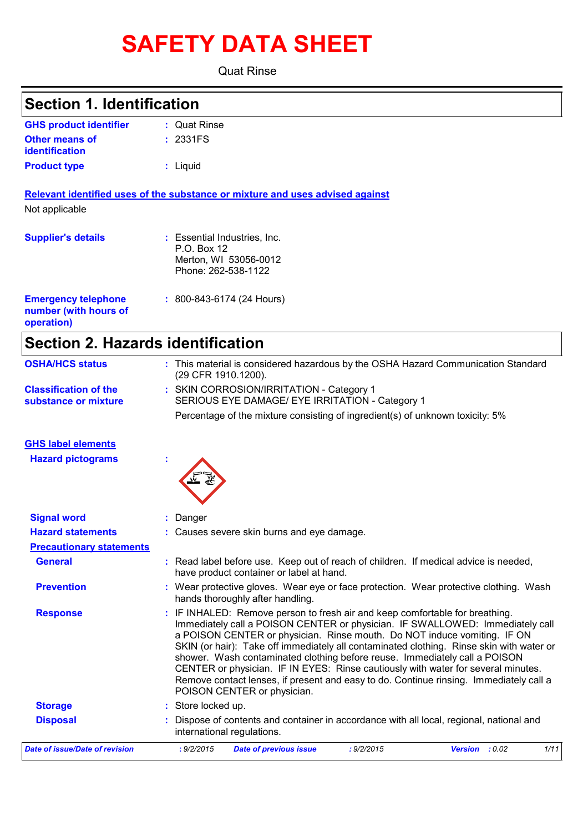# **SAFETY DATA SHEET**

Quat Rinse

## **Section 1. Identification**

| <b>GHS product identifier</b> | : Quat Rinse |
|-------------------------------|--------------|
| <b>Other means of</b>         | : 2331FS     |
| identification                |              |
| <b>Product type</b>           | : Liquid     |

**Relevant identified uses of the substance or mixture and uses advised against** Not applicable

| <b>Supplier's details</b>                                         | : Essential Industries, Inc.<br>P.O. Box 12<br>Merton, WI 53056-0012<br>Phone: 262-538-1122 |
|-------------------------------------------------------------------|---------------------------------------------------------------------------------------------|
| <b>Emergency telephone</b><br>number (with hours of<br>operation) | $: 800 - 843 - 6174$ (24 Hours)                                                             |

## **Section 2. Hazards identification**

| <b>OSHA/HCS status</b>                               | : This material is considered hazardous by the OSHA Hazard Communication Standard<br>(29 CFR 1910.1200).                                                                                                                                                                                                                                                                                                                                                                                                                                                                                                                          |
|------------------------------------------------------|-----------------------------------------------------------------------------------------------------------------------------------------------------------------------------------------------------------------------------------------------------------------------------------------------------------------------------------------------------------------------------------------------------------------------------------------------------------------------------------------------------------------------------------------------------------------------------------------------------------------------------------|
| <b>Classification of the</b><br>substance or mixture | : SKIN CORROSION/IRRITATION - Category 1<br>SERIOUS EYE DAMAGE/ EYE IRRITATION - Category 1                                                                                                                                                                                                                                                                                                                                                                                                                                                                                                                                       |
|                                                      | Percentage of the mixture consisting of ingredient(s) of unknown toxicity: 5%                                                                                                                                                                                                                                                                                                                                                                                                                                                                                                                                                     |
| <b>GHS label elements</b>                            |                                                                                                                                                                                                                                                                                                                                                                                                                                                                                                                                                                                                                                   |
| <b>Hazard pictograms</b>                             |                                                                                                                                                                                                                                                                                                                                                                                                                                                                                                                                                                                                                                   |
| <b>Signal word</b>                                   | : Danger                                                                                                                                                                                                                                                                                                                                                                                                                                                                                                                                                                                                                          |
| <b>Hazard statements</b>                             | : Causes severe skin burns and eye damage.                                                                                                                                                                                                                                                                                                                                                                                                                                                                                                                                                                                        |
| <b>Precautionary statements</b>                      |                                                                                                                                                                                                                                                                                                                                                                                                                                                                                                                                                                                                                                   |
| <b>General</b>                                       | : Read label before use. Keep out of reach of children. If medical advice is needed,<br>have product container or label at hand.                                                                                                                                                                                                                                                                                                                                                                                                                                                                                                  |
| <b>Prevention</b>                                    | : Wear protective gloves. Wear eye or face protection. Wear protective clothing. Wash<br>hands thoroughly after handling.                                                                                                                                                                                                                                                                                                                                                                                                                                                                                                         |
| <b>Response</b>                                      | : IF INHALED: Remove person to fresh air and keep comfortable for breathing.<br>Immediately call a POISON CENTER or physician. IF SWALLOWED: Immediately call<br>a POISON CENTER or physician. Rinse mouth. Do NOT induce vomiting. IF ON<br>SKIN (or hair): Take off immediately all contaminated clothing. Rinse skin with water or<br>shower. Wash contaminated clothing before reuse. Immediately call a POISON<br>CENTER or physician. IF IN EYES: Rinse cautiously with water for several minutes.<br>Remove contact lenses, if present and easy to do. Continue rinsing. Immediately call a<br>POISON CENTER or physician. |
| <b>Storage</b>                                       | : Store locked up.                                                                                                                                                                                                                                                                                                                                                                                                                                                                                                                                                                                                                |
| <b>Disposal</b>                                      | : Dispose of contents and container in accordance with all local, regional, national and<br>international regulations.                                                                                                                                                                                                                                                                                                                                                                                                                                                                                                            |
| <b>Date of issue/Date of revision</b>                | : 9/2/2015<br><b>Date of previous issue</b><br>: 9/2/2015<br>Version : 0.02<br>1/11                                                                                                                                                                                                                                                                                                                                                                                                                                                                                                                                               |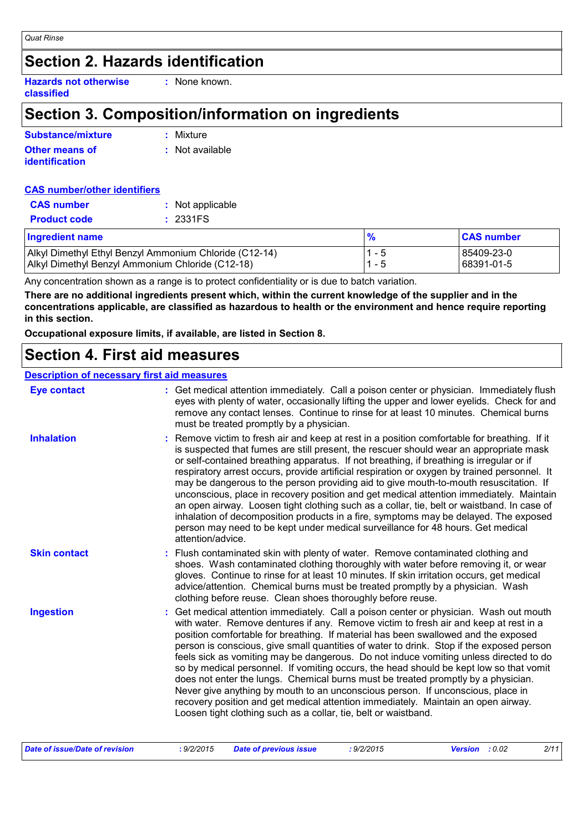## **Section 2. Hazards identification**

**Hazards not otherwise classified :** None known.

## **Section 3. Composition/information on ingredients**

| Substance/mixture     | : Mixture         |
|-----------------------|-------------------|
| <b>Other means of</b> | $:$ Not available |
| <b>identification</b> |                   |

#### **CAS number/other identifiers**

| <u>Ingredient name</u> |                  |
|------------------------|------------------|
| <b>Product code</b>    | : 2331FS         |
| <b>CAS</b> number      | : Not applicable |

| Ingredient name                                        |     | <b>CAS number</b> |
|--------------------------------------------------------|-----|-------------------|
| Alkyl Dimethyl Ethyl Benzyl Ammonium Chloride (C12-14) | - 5 | 85409-23-0        |
| Alkyl Dimethyl Benzyl Ammonium Chloride (C12-18)       | - 5 | 68391-01-5        |

Any concentration shown as a range is to protect confidentiality or is due to batch variation.

**There are no additional ingredients present which, within the current knowledge of the supplier and in the concentrations applicable, are classified as hazardous to health or the environment and hence require reporting in this section.**

**Occupational exposure limits, if available, are listed in Section 8.**

### **Section 4. First aid measures**

#### **Description of necessary first aid measures**

| <b>Eye contact</b>  | : Get medical attention immediately. Call a poison center or physician. Immediately flush<br>eyes with plenty of water, occasionally lifting the upper and lower eyelids. Check for and<br>remove any contact lenses. Continue to rinse for at least 10 minutes. Chemical burns<br>must be treated promptly by a physician.                                                                                                                                                                                                                                                                                                                                                                                                                                                                                                                                                         |
|---------------------|-------------------------------------------------------------------------------------------------------------------------------------------------------------------------------------------------------------------------------------------------------------------------------------------------------------------------------------------------------------------------------------------------------------------------------------------------------------------------------------------------------------------------------------------------------------------------------------------------------------------------------------------------------------------------------------------------------------------------------------------------------------------------------------------------------------------------------------------------------------------------------------|
| <b>Inhalation</b>   | : Remove victim to fresh air and keep at rest in a position comfortable for breathing. If it<br>is suspected that fumes are still present, the rescuer should wear an appropriate mask<br>or self-contained breathing apparatus. If not breathing, if breathing is irregular or if<br>respiratory arrest occurs, provide artificial respiration or oxygen by trained personnel. It<br>may be dangerous to the person providing aid to give mouth-to-mouth resuscitation. If<br>unconscious, place in recovery position and get medical attention immediately. Maintain<br>an open airway. Loosen tight clothing such as a collar, tie, belt or waistband. In case of<br>inhalation of decomposition products in a fire, symptoms may be delayed. The exposed<br>person may need to be kept under medical surveillance for 48 hours. Get medical<br>attention/advice.                |
| <b>Skin contact</b> | : Flush contaminated skin with plenty of water. Remove contaminated clothing and<br>shoes. Wash contaminated clothing thoroughly with water before removing it, or wear<br>gloves. Continue to rinse for at least 10 minutes. If skin irritation occurs, get medical<br>advice/attention. Chemical burns must be treated promptly by a physician. Wash<br>clothing before reuse. Clean shoes thoroughly before reuse.                                                                                                                                                                                                                                                                                                                                                                                                                                                               |
| <b>Ingestion</b>    | : Get medical attention immediately. Call a poison center or physician. Wash out mouth<br>with water. Remove dentures if any. Remove victim to fresh air and keep at rest in a<br>position comfortable for breathing. If material has been swallowed and the exposed<br>person is conscious, give small quantities of water to drink. Stop if the exposed person<br>feels sick as vomiting may be dangerous. Do not induce vomiting unless directed to do<br>so by medical personnel. If vomiting occurs, the head should be kept low so that vomit<br>does not enter the lungs. Chemical burns must be treated promptly by a physician.<br>Never give anything by mouth to an unconscious person. If unconscious, place in<br>recovery position and get medical attention immediately. Maintain an open airway.<br>Loosen tight clothing such as a collar, tie, belt or waistband. |

| : 9/2/2015<br>: 9/2/2015<br>Date of issue/Date of revision<br>Date of previous issue | 2/11<br><b>Version</b> : 0.02 |
|--------------------------------------------------------------------------------------|-------------------------------|
|--------------------------------------------------------------------------------------|-------------------------------|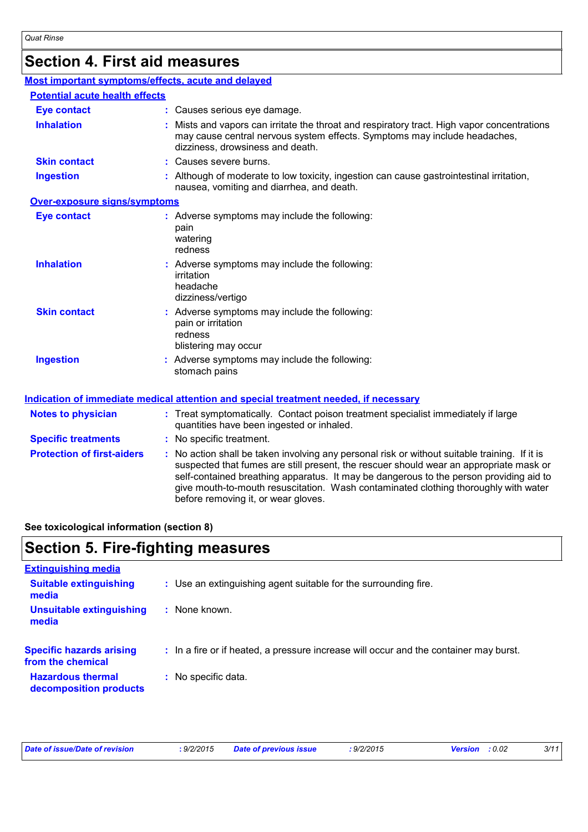## **Section 4. First aid measures**

| Most important symptoms/effects, acute and delayed |                                                                                                                                                                                                                                                                                                                                                                                                                 |
|----------------------------------------------------|-----------------------------------------------------------------------------------------------------------------------------------------------------------------------------------------------------------------------------------------------------------------------------------------------------------------------------------------------------------------------------------------------------------------|
| <b>Potential acute health effects</b>              |                                                                                                                                                                                                                                                                                                                                                                                                                 |
| <b>Eye contact</b>                                 | : Causes serious eye damage.                                                                                                                                                                                                                                                                                                                                                                                    |
| <b>Inhalation</b>                                  | : Mists and vapors can irritate the throat and respiratory tract. High vapor concentrations<br>may cause central nervous system effects. Symptoms may include headaches,<br>dizziness, drowsiness and death.                                                                                                                                                                                                    |
| <b>Skin contact</b>                                | : Causes severe burns.                                                                                                                                                                                                                                                                                                                                                                                          |
| <b>Ingestion</b>                                   | : Although of moderate to low toxicity, ingestion can cause gastrointestinal irritation,<br>nausea, vomiting and diarrhea, and death.                                                                                                                                                                                                                                                                           |
| Over-exposure signs/symptoms                       |                                                                                                                                                                                                                                                                                                                                                                                                                 |
| <b>Eye contact</b>                                 | : Adverse symptoms may include the following:<br>pain<br>watering<br>redness                                                                                                                                                                                                                                                                                                                                    |
| <b>Inhalation</b>                                  | : Adverse symptoms may include the following:<br>irritation<br>headache<br>dizziness/vertigo                                                                                                                                                                                                                                                                                                                    |
| <b>Skin contact</b>                                | : Adverse symptoms may include the following:<br>pain or irritation<br>redness<br>blistering may occur                                                                                                                                                                                                                                                                                                          |
| <b>Ingestion</b>                                   | : Adverse symptoms may include the following:<br>stomach pains                                                                                                                                                                                                                                                                                                                                                  |
|                                                    | <b>Indication of immediate medical attention and special treatment needed, if necessary</b>                                                                                                                                                                                                                                                                                                                     |
| <b>Notes to physician</b>                          | : Treat symptomatically. Contact poison treatment specialist immediately if large<br>quantities have been ingested or inhaled.                                                                                                                                                                                                                                                                                  |
| <b>Specific treatments</b>                         | : No specific treatment.                                                                                                                                                                                                                                                                                                                                                                                        |
| <b>Protection of first-aiders</b>                  | : No action shall be taken involving any personal risk or without suitable training. If it is<br>suspected that fumes are still present, the rescuer should wear an appropriate mask or<br>self-contained breathing apparatus. It may be dangerous to the person providing aid to<br>give mouth-to-mouth resuscitation. Wash contaminated clothing thoroughly with water<br>before removing it, or wear gloves. |

**See toxicological information (section 8)**

## **Section 5. Fire-fighting measures**

| <b>Extinguishing media</b>                           |                                                                                       |
|------------------------------------------------------|---------------------------------------------------------------------------------------|
| <b>Suitable extinguishing</b><br>media               | : Use an extinguishing agent suitable for the surrounding fire.                       |
| <b>Unsuitable extinguishing</b><br>media             | : None known.                                                                         |
| <b>Specific hazards arising</b><br>from the chemical | : In a fire or if heated, a pressure increase will occur and the container may burst. |
| <b>Hazardous thermal</b><br>decomposition products   | : No specific data.                                                                   |

*Date of issue/Date of revision* **:** *9/2/2015 Date of previous issue : 9/2/2015 Version : 0.02 3/11*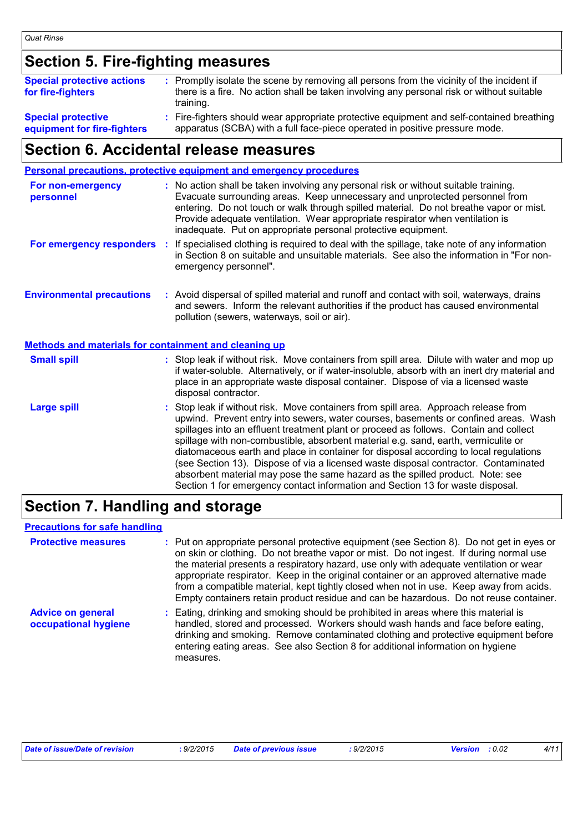## **Section 5. Fire-fighting measures**

| <b>Special protective actions</b><br>for fire-fighters   | : Promptly isolate the scene by removing all persons from the vicinity of the incident if<br>there is a fire. No action shall be taken involving any personal risk or without suitable<br>training. |
|----------------------------------------------------------|-----------------------------------------------------------------------------------------------------------------------------------------------------------------------------------------------------|
| <b>Special protective</b><br>equipment for fire-fighters | : Fire-fighters should wear appropriate protective equipment and self-contained breathing<br>apparatus (SCBA) with a full face-piece operated in positive pressure mode.                            |

### **Section 6. Accidental release measures**

|                                                       | <b>Personal precautions, protective equipment and emergency procedures</b>                                                                                                                                                                                                                                                                                                                                                                                                                                                                                                                                                                                                                                 |  |  |
|-------------------------------------------------------|------------------------------------------------------------------------------------------------------------------------------------------------------------------------------------------------------------------------------------------------------------------------------------------------------------------------------------------------------------------------------------------------------------------------------------------------------------------------------------------------------------------------------------------------------------------------------------------------------------------------------------------------------------------------------------------------------------|--|--|
| For non-emergency<br>personnel                        | : No action shall be taken involving any personal risk or without suitable training.<br>Evacuate surrounding areas. Keep unnecessary and unprotected personnel from<br>entering. Do not touch or walk through spilled material. Do not breathe vapor or mist.<br>Provide adequate ventilation. Wear appropriate respirator when ventilation is<br>inadequate. Put on appropriate personal protective equipment.                                                                                                                                                                                                                                                                                            |  |  |
| For emergency responders                              | If specialised clothing is required to deal with the spillage, take note of any information<br>÷.<br>in Section 8 on suitable and unsuitable materials. See also the information in "For non-<br>emergency personnel".                                                                                                                                                                                                                                                                                                                                                                                                                                                                                     |  |  |
| <b>Environmental precautions</b>                      | : Avoid dispersal of spilled material and runoff and contact with soil, waterways, drains<br>and sewers. Inform the relevant authorities if the product has caused environmental<br>pollution (sewers, waterways, soil or air).                                                                                                                                                                                                                                                                                                                                                                                                                                                                            |  |  |
| Methods and materials for containment and cleaning up |                                                                                                                                                                                                                                                                                                                                                                                                                                                                                                                                                                                                                                                                                                            |  |  |
| <b>Small spill</b>                                    | : Stop leak if without risk. Move containers from spill area. Dilute with water and mop up<br>if water-soluble. Alternatively, or if water-insoluble, absorb with an inert dry material and<br>place in an appropriate waste disposal container. Dispose of via a licensed waste<br>disposal contractor.                                                                                                                                                                                                                                                                                                                                                                                                   |  |  |
| <b>Large spill</b>                                    | Stop leak if without risk. Move containers from spill area. Approach release from<br>upwind. Prevent entry into sewers, water courses, basements or confined areas. Wash<br>spillages into an effluent treatment plant or proceed as follows. Contain and collect<br>spillage with non-combustible, absorbent material e.g. sand, earth, vermiculite or<br>diatomaceous earth and place in container for disposal according to local regulations<br>(see Section 13). Dispose of via a licensed waste disposal contractor. Contaminated<br>absorbent material may pose the same hazard as the spilled product. Note: see<br>Section 1 for emergency contact information and Section 13 for waste disposal. |  |  |

## **Section 7. Handling and storage**

#### **Precautions for safe handling**

| <b>Protective measures</b>                       | : Put on appropriate personal protective equipment (see Section 8). Do not get in eyes or<br>on skin or clothing. Do not breathe vapor or mist. Do not ingest. If during normal use<br>the material presents a respiratory hazard, use only with adequate ventilation or wear<br>appropriate respirator. Keep in the original container or an approved alternative made<br>from a compatible material, kept tightly closed when not in use. Keep away from acids.<br>Empty containers retain product residue and can be hazardous. Do not reuse container. |
|--------------------------------------------------|------------------------------------------------------------------------------------------------------------------------------------------------------------------------------------------------------------------------------------------------------------------------------------------------------------------------------------------------------------------------------------------------------------------------------------------------------------------------------------------------------------------------------------------------------------|
| <b>Advice on general</b><br>occupational hygiene | : Eating, drinking and smoking should be prohibited in areas where this material is<br>handled, stored and processed. Workers should wash hands and face before eating,<br>drinking and smoking. Remove contaminated clothing and protective equipment before<br>entering eating areas. See also Section 8 for additional information on hygiene<br>measures.                                                                                                                                                                                              |

| <b>Date of issue/Date</b><br>$: 9/2/201$ <sup>F</sup><br>f revision<br>זה נ<br>. | .<br>пи | $\Delta$ in in $\Delta$ if<br><i><b>ाssue</b></i><br>ur.<br><i>. 31 41</i> 40 1 9 | 0.02 | $\frac{1}{4}$ |
|----------------------------------------------------------------------------------|---------|-----------------------------------------------------------------------------------|------|---------------|
|----------------------------------------------------------------------------------|---------|-----------------------------------------------------------------------------------|------|---------------|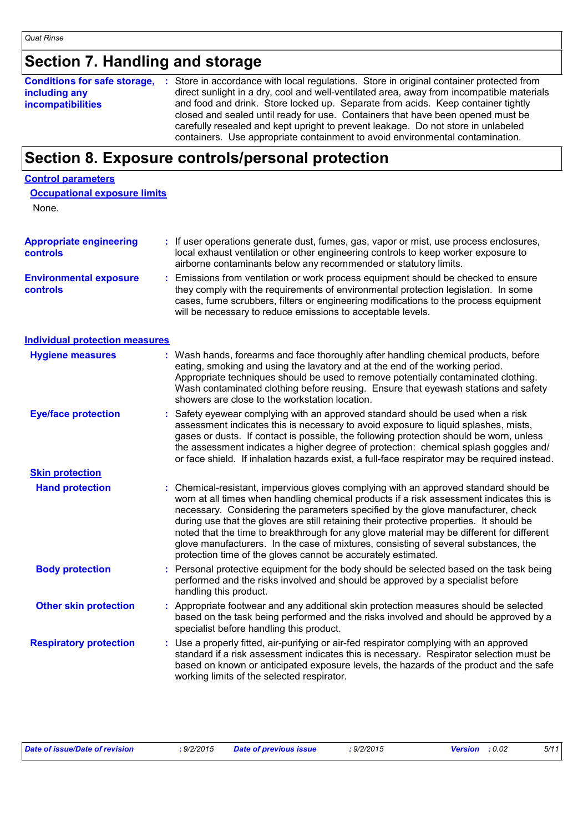## **Section 7. Handling and storage**

| <b>Conditions for safe storage,</b> | Store in accordance with local regulations. Store in original container protected from    |
|-------------------------------------|-------------------------------------------------------------------------------------------|
| including any                       | direct sunlight in a dry, cool and well-ventilated area, away from incompatible materials |
| <b>incompatibilities</b>            | and food and drink. Store locked up. Separate from acids. Keep container tightly          |
|                                     | closed and sealed until ready for use. Containers that have been opened must be           |
|                                     | carefully resealed and kept upright to prevent leakage. Do not store in unlabeled         |
|                                     | containers. Use appropriate containment to avoid environmental contamination.             |

## **Section 8. Exposure controls/personal protection**

## None. **Appropriate engineering Control parameters Occupational exposure limits**

| <b>Appropriate engineering</b><br>controls | : If user operations generate dust, fumes, gas, vapor or mist, use process enclosures,<br>local exhaust ventilation or other engineering controls to keep worker exposure to<br>airborne contaminants below any recommended or statutory limits.                                                                                                                                                                                                                                                                                                                                                                       |
|--------------------------------------------|------------------------------------------------------------------------------------------------------------------------------------------------------------------------------------------------------------------------------------------------------------------------------------------------------------------------------------------------------------------------------------------------------------------------------------------------------------------------------------------------------------------------------------------------------------------------------------------------------------------------|
| <b>Environmental exposure</b><br>controls  | Emissions from ventilation or work process equipment should be checked to ensure<br>they comply with the requirements of environmental protection legislation. In some<br>cases, fume scrubbers, filters or engineering modifications to the process equipment<br>will be necessary to reduce emissions to acceptable levels.                                                                                                                                                                                                                                                                                          |
| <b>Individual protection measures</b>      |                                                                                                                                                                                                                                                                                                                                                                                                                                                                                                                                                                                                                        |
| <b>Hygiene measures</b>                    | : Wash hands, forearms and face thoroughly after handling chemical products, before<br>eating, smoking and using the lavatory and at the end of the working period.<br>Appropriate techniques should be used to remove potentially contaminated clothing.<br>Wash contaminated clothing before reusing. Ensure that eyewash stations and safety<br>showers are close to the workstation location.                                                                                                                                                                                                                      |
| <b>Eye/face protection</b>                 | Safety eyewear complying with an approved standard should be used when a risk<br>assessment indicates this is necessary to avoid exposure to liquid splashes, mists,<br>gases or dusts. If contact is possible, the following protection should be worn, unless<br>the assessment indicates a higher degree of protection: chemical splash goggles and/<br>or face shield. If inhalation hazards exist, a full-face respirator may be required instead.                                                                                                                                                                |
| <b>Skin protection</b>                     |                                                                                                                                                                                                                                                                                                                                                                                                                                                                                                                                                                                                                        |
| <b>Hand protection</b>                     | : Chemical-resistant, impervious gloves complying with an approved standard should be<br>worn at all times when handling chemical products if a risk assessment indicates this is<br>necessary. Considering the parameters specified by the glove manufacturer, check<br>during use that the gloves are still retaining their protective properties. It should be<br>noted that the time to breakthrough for any glove material may be different for different<br>glove manufacturers. In the case of mixtures, consisting of several substances, the<br>protection time of the gloves cannot be accurately estimated. |
| <b>Body protection</b>                     | Personal protective equipment for the body should be selected based on the task being<br>performed and the risks involved and should be approved by a specialist before<br>handling this product.                                                                                                                                                                                                                                                                                                                                                                                                                      |
| <b>Other skin protection</b>               | : Appropriate footwear and any additional skin protection measures should be selected<br>based on the task being performed and the risks involved and should be approved by a<br>specialist before handling this product.                                                                                                                                                                                                                                                                                                                                                                                              |
| <b>Respiratory protection</b>              | : Use a properly fitted, air-purifying or air-fed respirator complying with an approved<br>standard if a risk assessment indicates this is necessary. Respirator selection must be<br>based on known or anticipated exposure levels, the hazards of the product and the safe<br>working limits of the selected respirator.                                                                                                                                                                                                                                                                                             |

| Date of issue/Date of revision | : 9/2/2015 | <b>Date of previous issue</b> | : 9/2/2015 | <b>Version</b> : 0.02 | 5/11 |
|--------------------------------|------------|-------------------------------|------------|-----------------------|------|
|                                |            |                               |            |                       |      |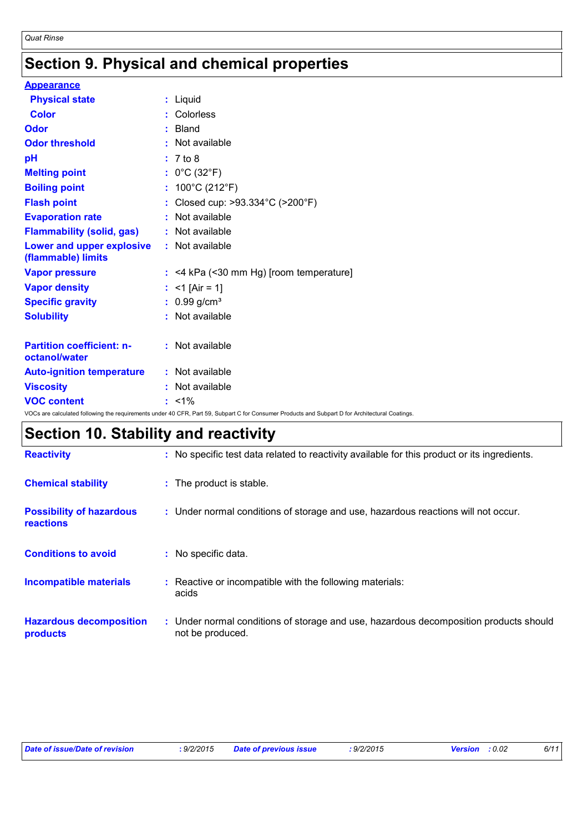## **Section 9. Physical and chemical properties**

| <b>Appearance</b>                                 |                                                                                                                                                 |
|---------------------------------------------------|-------------------------------------------------------------------------------------------------------------------------------------------------|
| <b>Physical state</b>                             | : Liquid                                                                                                                                        |
| <b>Color</b>                                      | : Colorless                                                                                                                                     |
| Odor                                              | $:$ Bland                                                                                                                                       |
| <b>Odor threshold</b>                             | $:$ Not available                                                                                                                               |
| pH                                                | : 7 to 8                                                                                                                                        |
| <b>Melting point</b>                              | : $0^{\circ}$ C (32 $^{\circ}$ F)                                                                                                               |
| <b>Boiling point</b>                              | : $100^{\circ}$ C (212 $^{\circ}$ F)                                                                                                            |
| <b>Flash point</b>                                | : Closed cup: >93.334°C (>200°F)                                                                                                                |
| <b>Evaporation rate</b>                           | : Not available                                                                                                                                 |
| <b>Flammability (solid, gas)</b>                  | : Not available                                                                                                                                 |
| Lower and upper explosive<br>(flammable) limits   | : Not available                                                                                                                                 |
| <b>Vapor pressure</b>                             | $:$ <4 kPa (<30 mm Hg) [room temperature]                                                                                                       |
| <b>Vapor density</b>                              | : <1 [Air = 1]                                                                                                                                  |
| <b>Specific gravity</b>                           | : $0.99$ g/cm <sup>3</sup>                                                                                                                      |
| <b>Solubility</b>                                 | : Not available                                                                                                                                 |
| <b>Partition coefficient: n-</b><br>octanol/water | : Not available                                                                                                                                 |
| <b>Auto-ignition temperature</b>                  | : Not available                                                                                                                                 |
| <b>Viscosity</b>                                  | : Not available                                                                                                                                 |
| <b>VOC content</b>                                | $: 1\%$                                                                                                                                         |
|                                                   | VOCs are calculated following the requirements under 40 CFR, Part 59, Subpart C for Consumer Products and Subpart D for Architectural Coatings. |

## **Section 10. Stability and reactivity**

| <b>Reactivity</b>                            | : No specific test data related to reactivity available for this product or its ingredients.              |
|----------------------------------------------|-----------------------------------------------------------------------------------------------------------|
| <b>Chemical stability</b>                    | : The product is stable.                                                                                  |
| <b>Possibility of hazardous</b><br>reactions | : Under normal conditions of storage and use, hazardous reactions will not occur.                         |
| <b>Conditions to avoid</b>                   | : No specific data.                                                                                       |
| <b>Incompatible materials</b>                | : Reactive or incompatible with the following materials:<br>acids                                         |
| <b>Hazardous decomposition</b><br>products   | : Under normal conditions of storage and use, hazardous decomposition products should<br>not be produced. |

| Date of issue/Date of revision<br>: 9/2/2015 | <b>Date of previous issue</b> | : 9/2/2015 | <b>Version</b> : 0.02 | 6/11 |
|----------------------------------------------|-------------------------------|------------|-----------------------|------|
|----------------------------------------------|-------------------------------|------------|-----------------------|------|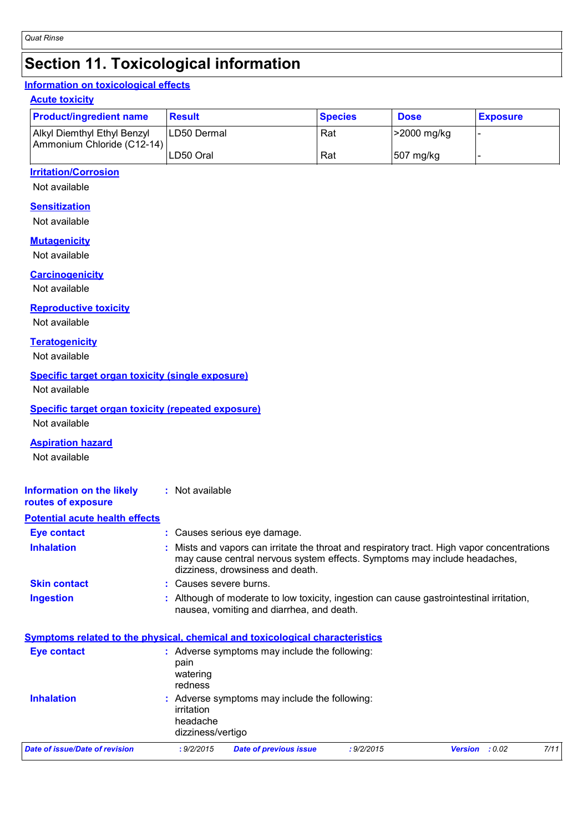## **Section 11. Toxicological information**

#### **Information on toxicological effects**

#### **Acute toxicity**

| <b>Product/ingredient name</b>                            | <b>Result</b> | <b>Species</b> | <b>Dose</b> | <b>Exposure</b> |
|-----------------------------------------------------------|---------------|----------------|-------------|-----------------|
| Alkyl Diemthyl Ethyl Benzyl<br>Ammonium Chloride (C12-14) | ILD50 Dermal  | Rat            | >2000 mg/kg |                 |
|                                                           | LD50 Oral     | Rat            | 507 mg/kg   |                 |

#### **Irritation/Corrosion**

Not available

#### **Sensitization**

Not available

### **Mutagenicity**

Not available

### **Carcinogenicity**

Not available

**Reproductive toxicity**

Not available

#### **Teratogenicity**

Not available

#### **Specific target organ toxicity (single exposure)**

Not available

### **Specific target organ toxicity (repeated exposure)**

Not available

#### **Aspiration hazard**

Not available

| <b>Information on the likely</b><br>routes of exposure | $:$ Not available                                                                                                                                                                                          |
|--------------------------------------------------------|------------------------------------------------------------------------------------------------------------------------------------------------------------------------------------------------------------|
| <b>Potential acute health effects</b>                  |                                                                                                                                                                                                            |
| Eye contact                                            | : Causes serious eye damage.                                                                                                                                                                               |
| <b>Inhalation</b>                                      | Mists and vapors can irritate the throat and respiratory tract. High vapor concentrations<br>may cause central nervous system effects. Symptoms may include headaches,<br>dizziness, drowsiness and death. |
| <b>Skin contact</b>                                    | : Causes severe burns.                                                                                                                                                                                     |
| <b>Ingestion</b>                                       | Although of moderate to low toxicity, ingestion can cause gastrointestinal irritation,<br>nausea, vomiting and diarrhea, and death.                                                                        |

#### **Symptoms related to the physical, chemical and toxicological characteristics Eye contact :** Adverse symptoms may include the following:

|                                | Provence expressions may meade are renormig.<br>pain<br>watering<br>redness |                                               |            |                       |  |      |  |
|--------------------------------|-----------------------------------------------------------------------------|-----------------------------------------------|------------|-----------------------|--|------|--|
| <b>Inhalation</b>              | irritation<br>headache<br>dizziness/vertigo                                 | : Adverse symptoms may include the following: |            |                       |  |      |  |
| Date of issue/Date of revision | : 9/2/2015                                                                  | <b>Date of previous issue</b>                 | : 9/2/2015 | <b>Version</b> : 0.02 |  | 7/11 |  |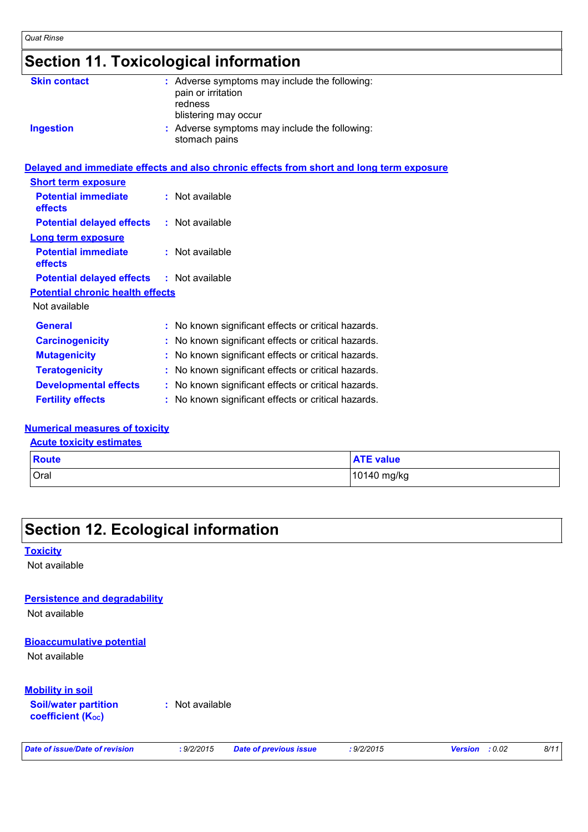## **Section 11. Toxicological information**

| <b>Skin contact</b>                     | : Adverse symptoms may include the following:<br>pain or irritation<br>redness<br>blistering may occur |  |
|-----------------------------------------|--------------------------------------------------------------------------------------------------------|--|
| <b>Ingestion</b>                        | : Adverse symptoms may include the following:<br>stomach pains                                         |  |
|                                         | Delayed and immediate effects and also chronic effects from short and long term exposure               |  |
| <b>Short term exposure</b>              |                                                                                                        |  |
| <b>Potential immediate</b><br>effects   | : Not available                                                                                        |  |
| <b>Potential delayed effects</b>        | : Not available                                                                                        |  |
| <b>Long term exposure</b>               |                                                                                                        |  |
| <b>Potential immediate</b><br>effects   | $:$ Not available                                                                                      |  |
| <b>Potential delayed effects</b>        | : Not available                                                                                        |  |
| <b>Potential chronic health effects</b> |                                                                                                        |  |
| Not available                           |                                                                                                        |  |
| <b>General</b>                          | : No known significant effects or critical hazards.                                                    |  |
| <b>Carcinogenicity</b>                  | No known significant effects or critical hazards.                                                      |  |
| <b>Mutagenicity</b>                     | No known significant effects or critical hazards.                                                      |  |
| <b>Teratogenicity</b>                   | No known significant effects or critical hazards.                                                      |  |
| <b>Developmental effects</b>            | : No known significant effects or critical hazards.                                                    |  |
| <b>Fertility effects</b>                | : No known significant effects or critical hazards.                                                    |  |

#### **Numerical measures of toxicity**

#### **Acute toxicity estimates**

| <b>Route</b> | <b>ATE value</b> |
|--------------|------------------|
| Oral         | 10140 mg/kg      |

## **Section 12. Ecological information**

#### **Toxicity**

Not available

#### **Persistence and degradability**

Not available

#### **Bioaccumulative potential**

Not available

#### **Mobility in soil**

**Soil/water partition coefficient (KOC)**

**:** Not available

```
Date of issue/Date of revision : 9/2/2015 Date of previous issue : 9/2/2015 Version : 0.02 8/11
```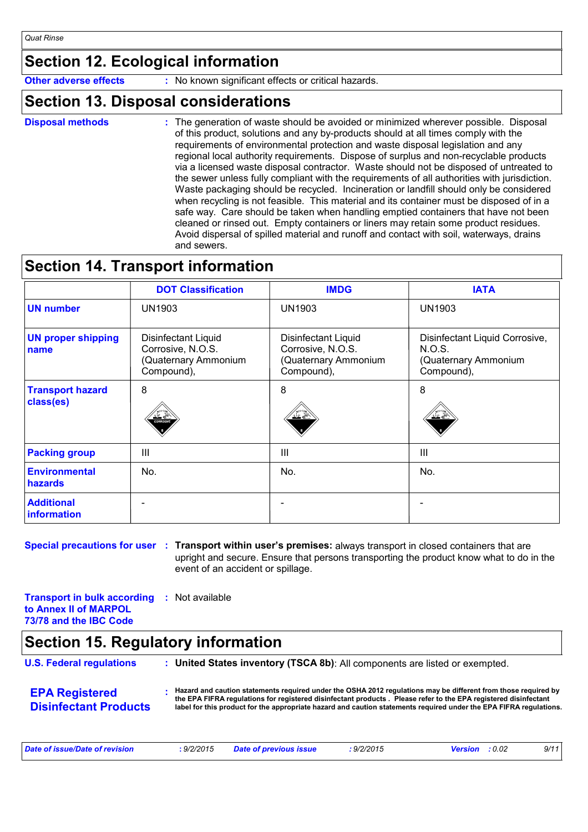## **Section 12. Ecological information**

**Other adverse effects** : No known significant effects or critical hazards.

### **Section 13. Disposal considerations**

**Disposal methods :**

The generation of waste should be avoided or minimized wherever possible. Disposal of this product, solutions and any by-products should at all times comply with the requirements of environmental protection and waste disposal legislation and any regional local authority requirements. Dispose of surplus and non-recyclable products via a licensed waste disposal contractor. Waste should not be disposed of untreated to the sewer unless fully compliant with the requirements of all authorities with jurisdiction. Waste packaging should be recycled. Incineration or landfill should only be considered when recycling is not feasible. This material and its container must be disposed of in a safe way. Care should be taken when handling emptied containers that have not been cleaned or rinsed out. Empty containers or liners may retain some product residues. Avoid dispersal of spilled material and runoff and contact with soil, waterways, drains and sewers.

## **Section 14. Transport information**

|                                      | <b>DOT Classification</b>                                                      | <b>IMDG</b>                                                                           | <b>IATA</b>                                                                    |
|--------------------------------------|--------------------------------------------------------------------------------|---------------------------------------------------------------------------------------|--------------------------------------------------------------------------------|
| <b>UN number</b>                     | <b>UN1903</b>                                                                  | <b>UN1903</b>                                                                         | <b>UN1903</b>                                                                  |
| <b>UN proper shipping</b><br>name    | Disinfectant Liquid<br>Corrosive, N.O.S.<br>(Quaternary Ammonium<br>Compound), | <b>Disinfectant Liquid</b><br>Corrosive, N.O.S.<br>(Quaternary Ammonium<br>Compound), | Disinfectant Liquid Corrosive,<br>N.O.S.<br>(Quaternary Ammonium<br>Compound), |
| <b>Transport hazard</b><br>class(es) | 8<br><b>CORROSIV</b>                                                           | 8<br>双こ                                                                               | 8                                                                              |
| <b>Packing group</b>                 | $\mathbf{III}$                                                                 | $\mathbf{III}$                                                                        | Ш                                                                              |
| Environmental<br>hazards             | No.                                                                            | No.                                                                                   | No.                                                                            |
| <b>Additional</b><br>information     |                                                                                |                                                                                       |                                                                                |

**Special precautions for user : Transport within user's premises: always transport in closed containers that are** upright and secure. Ensure that persons transporting the product know what to do in the event of an accident or spillage.

**Transport in bulk according :** Not available **to Annex II of MARPOL 73/78 and the IBC Code**

## **Section 15. Regulatory information**

| <b>U.S. Federal regulations</b>                       | : United States inventory (TSCA 8b): All components are listed or exempted.                                                                                                                                                                                                                                                                             |
|-------------------------------------------------------|---------------------------------------------------------------------------------------------------------------------------------------------------------------------------------------------------------------------------------------------------------------------------------------------------------------------------------------------------------|
| <b>EPA Registered</b><br><b>Disinfectant Products</b> | Hazard and caution statements required under the OSHA 2012 regulations may be different from those required by<br>the EPA FIFRA regulations for registered disinfectant products. Please refer to the EPA registered disinfectant<br>label for this product for the appropriate hazard and caution statements required under the EPA FIFRA requlations. |

| Date of issue/Date of revision<br>: 9/2/2015<br><b>Date of previous issue</b> | 9/2/2015 | <b>Version</b> : $0.02$ | 9/11 |
|-------------------------------------------------------------------------------|----------|-------------------------|------|
|-------------------------------------------------------------------------------|----------|-------------------------|------|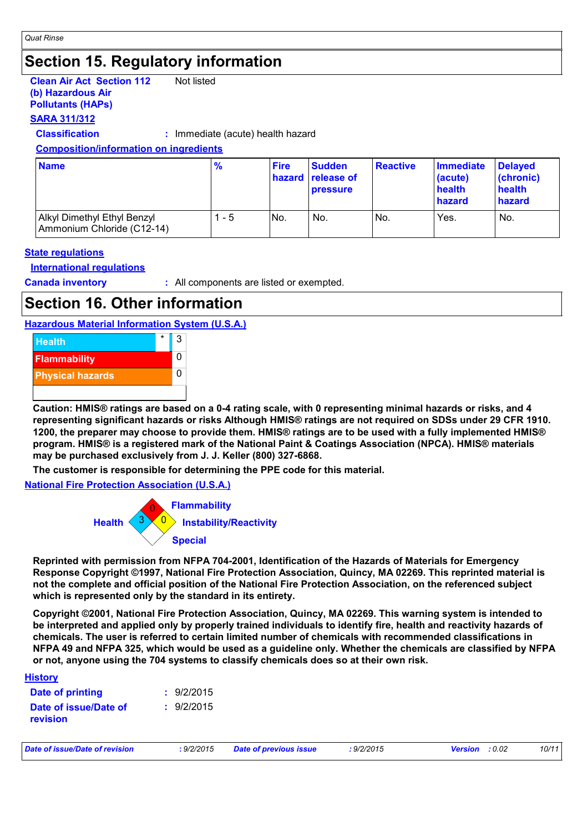## **Section 15. Regulatory information**

**Clean Air Act Section 112 (b) Hazardous Air Pollutants (HAPs)** Not listed

### **SARA 311/312**

**Classification :** Immediate (acute) health hazard

#### **Composition/information on ingredients**

| <b>Name</b>                                               | $\frac{9}{6}$ | <b>Fire</b> | <b>Sudden</b><br><b>hazard release of</b><br><b>pressure</b> | Reactive | <b>Immediate</b><br>(acute)<br>health<br>hazard | <b>Delayed</b><br>(chronic)<br>health<br>hazard |
|-----------------------------------------------------------|---------------|-------------|--------------------------------------------------------------|----------|-------------------------------------------------|-------------------------------------------------|
| Alkyl Dimethyl Ethyl Benzyl<br>Ammonium Chloride (C12-14) | - 5           | No.         | No.                                                          | No.      | Yes.                                            | No.                                             |

#### **State regulations**

#### **International regulations**

**Canada inventory :** All components are listed or exempted.

## **Section 16. Other information**

**Hazardous Material Information System (U.S.A.)**



**Caution: HMIS® ratings are based on a 0-4 rating scale, with 0 representing minimal hazards or risks, and 4 representing significant hazards or risks Although HMIS® ratings are not required on SDSs under 29 CFR 1910. 1200, the preparer may choose to provide them. HMIS® ratings are to be used with a fully implemented HMIS® program. HMIS® is a registered mark of the National Paint & Coatings Association (NPCA). HMIS® materials may be purchased exclusively from J. J. Keller (800) 327-6868.**

**The customer is responsible for determining the PPE code for this material.**

**National Fire Protection Association (U.S.A.)**



**Reprinted with permission from NFPA 704-2001, Identification of the Hazards of Materials for Emergency Response Copyright ©1997, National Fire Protection Association, Quincy, MA 02269. This reprinted material is not the complete and official position of the National Fire Protection Association, on the referenced subject which is represented only by the standard in its entirety.**

**Copyright ©2001, National Fire Protection Association, Quincy, MA 02269. This warning system is intended to be interpreted and applied only by properly trained individuals to identify fire, health and reactivity hazards of chemicals. The user is referred to certain limited number of chemicals with recommended classifications in NFPA 49 and NFPA 325, which would be used as a guideline only. Whether the chemicals are classified by NFPA or not, anyone using the 704 systems to classify chemicals does so at their own risk.**

| <u>History</u>                    |            |
|-----------------------------------|------------|
| Date of printing                  | : 9/2/2015 |
| Date of issue/Date of<br>revision | : 9/2/2015 |

| Date of issue/Date of revision | 9/2/2015 | <b>Date of previous issue</b> | 9/2/2015 | <b>Version</b> : 0.02 | 10/11 |
|--------------------------------|----------|-------------------------------|----------|-----------------------|-------|
|--------------------------------|----------|-------------------------------|----------|-----------------------|-------|